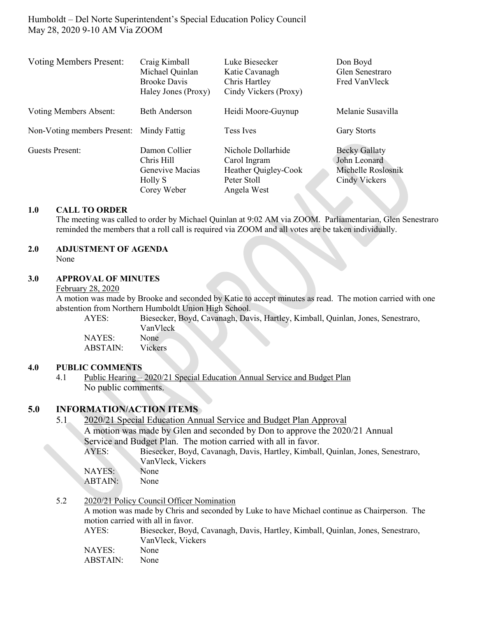Humboldt – Del Norte Superintendent's Special Education Policy Council May 28, 2020 9-10 AM Via ZOOM

| <b>Voting Members Present:</b> | Craig Kimball<br>Michael Quinlan<br><b>Brooke Davis</b><br>Haley Jones (Proxy) | Luke Biesecker<br>Katie Cavanagh<br>Chris Hartley<br>Cindy Vickers (Proxy)               | Don Boyd<br>Glen Senestraro<br>Fred VanVleck                                |
|--------------------------------|--------------------------------------------------------------------------------|------------------------------------------------------------------------------------------|-----------------------------------------------------------------------------|
| Voting Members Absent:         | <b>Beth Anderson</b>                                                           | Heidi Moore-Guynup                                                                       | Melanie Susavilla                                                           |
| Non-Voting members Present:    | Mindy Fattig                                                                   | Tess Ives                                                                                | <b>Gary Storts</b>                                                          |
| Guests Present:                | Damon Collier<br>Chris Hill<br>Genevive Macias<br>Holly S<br>Corey Weber       | Nichole Dollarhide<br>Carol Ingram<br>Heather Quigley-Cook<br>Peter Stoll<br>Angela West | <b>Becky Gallaty</b><br>John Leonard<br>Michelle Roslosnik<br>Cindy Vickers |

#### **1.0 CALL TO ORDER**

The meeting was called to order by Michael Quinlan at 9:02 AM via ZOOM. Parliamentarian, Glen Senestraro reminded the members that a roll call is required via ZOOM and all votes are be taken individually.

## **2.0 ADJUSTMENT OF AGENDA**

None

### **3.0 APPROVAL OF MINUTES**

February 28, 2020

A motion was made by Brooke and seconded by Katie to accept minutes as read. The motion carried with one abstention from Northern Humboldt Union High School.

AYES: Biesecker, Boyd, Cavanagh, Davis, Hartley, Kimball, Quinlan, Jones, Senestraro, VanVleck NAYES: None ABSTAIN: Vickers

#### **4.0 PUBLIC COMMENTS**

4.1 Public Hearing – 2020/21 Special Education Annual Service and Budget Plan No public comments.

### **5.0 INFORMATION/ACTION ITEMS**

| 5.1 | 2020/21 Special Education Annual Service and Budget Plan Approval |                                                                                 |  |
|-----|-------------------------------------------------------------------|---------------------------------------------------------------------------------|--|
|     |                                                                   | A motion was made by Glen and seconded by Don to approve the 2020/21 Annual     |  |
|     |                                                                   | Service and Budget Plan. The motion carried with all in favor.                  |  |
|     | AYES:                                                             | Biesecker, Boyd, Cavanagh, Davis, Hartley, Kimball, Quinlan, Jones, Senestraro, |  |
|     |                                                                   | VanVleck, Vickers                                                               |  |
|     | NAYES:                                                            | None                                                                            |  |
|     | ABTAIN:                                                           | None                                                                            |  |
|     |                                                                   |                                                                                 |  |
|     |                                                                   |                                                                                 |  |

5.2 2020/21 Policy Council Officer Nomination

A motion was made by Chris and seconded by Luke to have Michael continue as Chairperson. The motion carried with all in favor.

| AYES:    | Biesecker, Boyd, Cavanagh, Davis, Hartley, Kimball, Quinlan, Jones, Senestraro, |
|----------|---------------------------------------------------------------------------------|
|          | VanVleck, Vickers                                                               |
| NAYES:   | None                                                                            |
| ABSTAIN: | None                                                                            |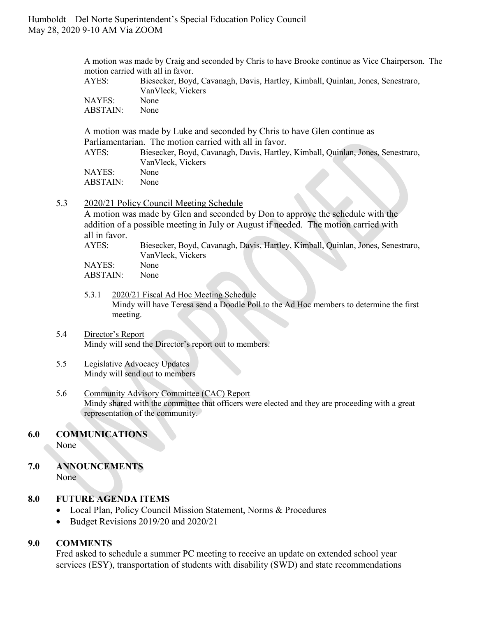A motion was made by Craig and seconded by Chris to have Brooke continue as Vice Chairperson. The motion carried with all in favor.

| AYES:    | Biesecker, Boyd, Cavanagh, Davis, Hartley, Kimball, Quinlan, Jones, Senestraro,<br>VanVleck, Vickers |
|----------|------------------------------------------------------------------------------------------------------|
| NAYES:   | None                                                                                                 |
| ABSTAIN: | None                                                                                                 |

A motion was made by Luke and seconded by Chris to have Glen continue as Parliamentarian. The motion carried with all in favor.

AYES: Biesecker, Boyd, Cavanagh, Davis, Hartley, Kimball, Quinlan, Jones, Senestraro, VanVleck, Vickers NAYES: None ABSTAIN: None

### 5.3 2020/21 Policy Council Meeting Schedule

A motion was made by Glen and seconded by Don to approve the schedule with the addition of a possible meeting in July or August if needed. The motion carried with all in favor.

AYES: Biesecker, Boyd, Cavanagh, Davis, Hartley, Kimball, Quinlan, Jones, Senestraro, VanVleck, Vickers

NAYES: None ABSTAIN: None

- 5.3.1 2020/21 Fiscal Ad Hoc Meeting Schedule Mindy will have Teresa send a Doodle Poll to the Ad Hoc members to determine the first meeting.
- 5.4 Director's Report Mindy will send the Director's report out to members.

#### 5.5 Legislative Advocacy Updates Mindy will send out to members

5.6 Community Advisory Committee (CAC) Report Mindy shared with the committee that officers were elected and they are proceeding with a great representation of the community.

## **6.0 COMMUNICATIONS**

None

# **7.0 ANNOUNCEMENTS**

None

### **8.0 FUTURE AGENDA ITEMS**

- Local Plan, Policy Council Mission Statement, Norms & Procedures
- Budget Revisions 2019/20 and 2020/21

### **9.0 COMMENTS**

Fred asked to schedule a summer PC meeting to receive an update on extended school year services (ESY), transportation of students with disability (SWD) and state recommendations